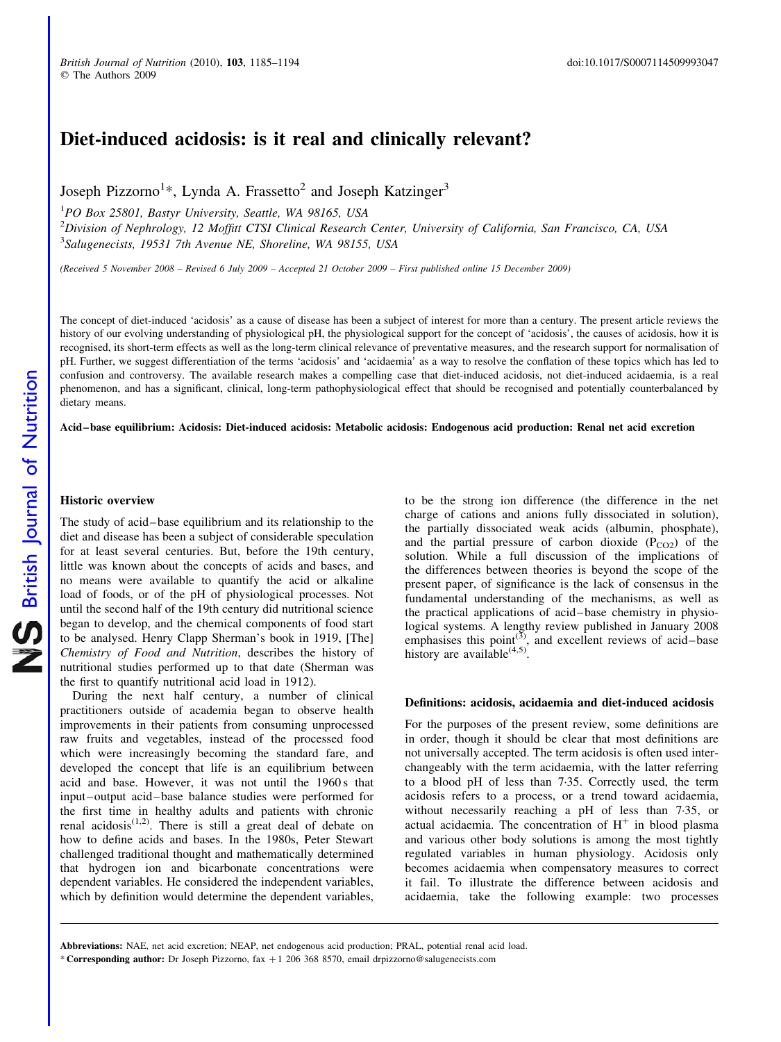# Diet-induced acidosis: is it real and clinically relevant?

Joseph Pizzorno<sup>1\*</sup>, Lynda A. Frassetto<sup>2</sup> and Joseph Katzinger<sup>3</sup>

<sup>1</sup>PO Box 25801, Bastyr University, Seattle, WA 98165, USA

 $^2$ Division of Nephrology, 12 Moffitt CTSI Clinical Research Center, University of California, San Francisco, CA, USA <sup>3</sup>Salugenecists, 19531 7th Avenue NE, Shoreline, WA 98155, USA

(Received 5 November 2008 – Revised 6 July 2009 – Accepted 21 October 2009 – First published online 15 December 2009)

The concept of diet-induced 'acidosis' as a cause of disease has been a subject of interest for more than a century. The present article reviews the history of our evolving understanding of physiological pH, the physiological support for the concept of 'acidosis', the causes of acidosis, how it is recognised, its short-term effects as well as the long-term clinical relevance of preventative measures, and the research support for normalisation of pH. Further, we suggest differentiation of the terms 'acidosis' and 'acidaemia' as a way to resolve the conflation of these topics which has led to confusion and controversy. The available research makes a compelling case that diet-induced acidosis, not diet-induced acidaemia, is a real phenomenon, and has a significant, clinical, long-term pathophysiological effect that should be recognised and potentially counterbalanced by dietary means.

Acid–base equilibrium: Acidosis: Diet-induced acidosis: Metabolic acidosis: Endogenous acid production: Renal net acid excretion

## Historic overview

The study of acid–base equilibrium and its relationship to the diet and disease has been a subject of considerable speculation for at least several centuries. But, before the 19th century, little was known about the concepts of acids and bases, and no means were available to quantify the acid or alkaline load of foods, or of the pH of physiological processes. Not until the second half of the 19th century did nutritional science began to develop, and the chemical components of food start to be analysed. Henry Clapp Sherman's book in 1919, [The] Chemistry of Food and Nutrition, describes the history of nutritional studies performed up to that date (Sherman was the first to quantify nutritional acid load in 1912).

During the next half century, a number of clinical practitioners outside of academia began to observe health improvements in their patients from consuming unprocessed raw fruits and vegetables, instead of the processed food which were increasingly becoming the standard fare, and developed the concept that life is an equilibrium between acid and base. However, it was not until the 1960 s that input–output acid–base balance studies were performed for the first time in healthy adults and patients with chronic renal acidosis $(1,2)$ . There is still a great deal of debate on how to define acids and bases. In the 1980s, Peter Stewart challenged traditional thought and mathematically determined that hydrogen ion and bicarbonate concentrations were dependent variables. He considered the independent variables, which by definition would determine the dependent variables, to be the strong ion difference (the difference in the net charge of cations and anions fully dissociated in solution), the partially dissociated weak acids (albumin, phosphate), and the partial pressure of carbon dioxide  $(P_{CO2})$  of the solution. While a full discussion of the implications of the differences between theories is beyond the scope of the present paper, of significance is the lack of consensus in the fundamental understanding of the mechanisms, as well as the practical applications of acid–base chemistry in physiological systems. A lengthy review published in January 2008 emphasises this point<sup>(3)</sup>, and excellent reviews of acid–base history are available<sup> $(4,5)$ </sup>.

### Definitions: acidosis, acidaemia and diet-induced acidosis

For the purposes of the present review, some definitions are in order, though it should be clear that most definitions are not universally accepted. The term acidosis is often used interchangeably with the term acidaemia, with the latter referring to a blood pH of less than 7·35. Correctly used, the term acidosis refers to a process, or a trend toward acidaemia, without necessarily reaching a pH of less than 7·35, or actual acidaemia. The concentration of  $H^+$  in blood plasma and various other body solutions is among the most tightly regulated variables in human physiology. Acidosis only becomes acidaemia when compensatory measures to correct it fail. To illustrate the difference between acidosis and acidaemia, take the following example: two processes

Abbreviations: NAE, net acid excretion; NEAP, net endogenous acid production; PRAL, potential renal acid load.

<sup>\*</sup> Corresponding author: Dr Joseph Pizzorno, fax  $+1$  206 368 8570, email drpizzorno@salugenecists.com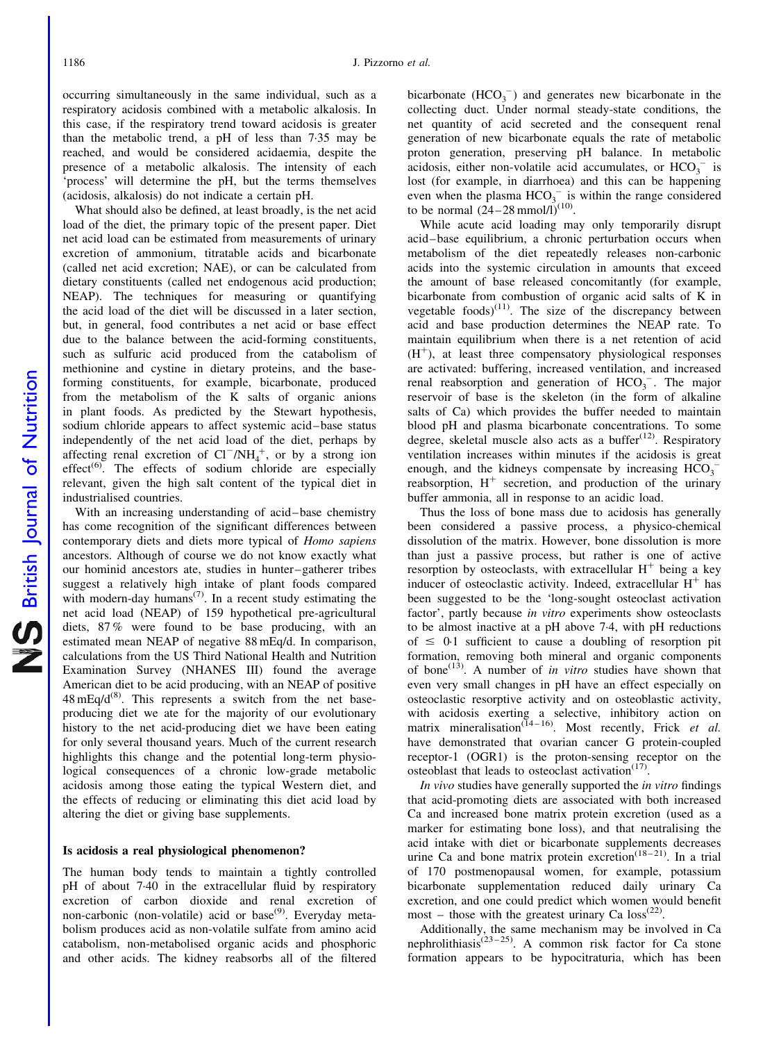occurring simultaneously in the same individual, such as a respiratory acidosis combined with a metabolic alkalosis. In this case, if the respiratory trend toward acidosis is greater than the metabolic trend, a pH of less than 7·35 may be reached, and would be considered acidaemia, despite the presence of a metabolic alkalosis. The intensity of each 'process' will determine the pH, but the terms themselves (acidosis, alkalosis) do not indicate a certain pH.

What should also be defined, at least broadly, is the net acid load of the diet, the primary topic of the present paper. Diet net acid load can be estimated from measurements of urinary excretion of ammonium, titratable acids and bicarbonate (called net acid excretion; NAE), or can be calculated from dietary constituents (called net endogenous acid production; NEAP). The techniques for measuring or quantifying the acid load of the diet will be discussed in a later section, but, in general, food contributes a net acid or base effect due to the balance between the acid-forming constituents, such as sulfuric acid produced from the catabolism of methionine and cystine in dietary proteins, and the baseforming constituents, for example, bicarbonate, produced from the metabolism of the K salts of organic anions in plant foods. As predicted by the Stewart hypothesis, sodium chloride appears to affect systemic acid–base status independently of the net acid load of the diet, perhaps by affecting renal excretion of  $Cl^-/NH_4^+$ , or by a strong ion effect<sup>(6)</sup>. The effects of sodium chloride are especially relevant, given the high salt content of the typical diet in industrialised countries.

With an increasing understanding of acid–base chemistry has come recognition of the significant differences between contemporary diets and diets more typical of Homo sapiens ancestors. Although of course we do not know exactly what our hominid ancestors ate, studies in hunter–gatherer tribes suggest a relatively high intake of plant foods compared with modern-day humans<sup> $(7)$ </sup>. In a recent study estimating the net acid load (NEAP) of 159 hypothetical pre-agricultural diets, 87 % were found to be base producing, with an estimated mean NEAP of negative 88 mEq/d. In comparison, calculations from the US Third National Health and Nutrition Examination Survey (NHANES III) found the average American diet to be acid producing, with an NEAP of positive  $48 \text{ mEq/d}^{(8)}$ . This represents a switch from the net baseproducing diet we ate for the majority of our evolutionary history to the net acid-producing diet we have been eating for only several thousand years. Much of the current research highlights this change and the potential long-term physiological consequences of a chronic low-grade metabolic acidosis among those eating the typical Western diet, and the effects of reducing or eliminating this diet acid load by altering the diet or giving base supplements.

#### Is acidosis a real physiological phenomenon?

The human body tends to maintain a tightly controlled pH of about 7·40 in the extracellular fluid by respiratory excretion of carbon dioxide and renal excretion of non-carbonic (non-volatile) acid or base<sup>(9)</sup>. Everyday metabolism produces acid as non-volatile sulfate from amino acid catabolism, non-metabolised organic acids and phosphoric and other acids. The kidney reabsorbs all of the filtered

bicarbonate  $(HCO<sub>3</sub><sup>-</sup>)$  and generates new bicarbonate in the collecting duct. Under normal steady-state conditions, the net quantity of acid secreted and the consequent renal generation of new bicarbonate equals the rate of metabolic proton generation, preserving pH balance. In metabolic acidosis, either non-volatile acid accumulates, or  $HCO_3^-$  is lost (for example, in diarrhoea) and this can be happening even when the plasma  $HCO_3^-$  is within the range considered to be normal  $(24-28 \text{ mmol/l})^{(10)}$ .

While acute acid loading may only temporarily disrupt acid–base equilibrium, a chronic perturbation occurs when metabolism of the diet repeatedly releases non-carbonic acids into the systemic circulation in amounts that exceed the amount of base released concomitantly (for example, bicarbonate from combustion of organic acid salts of K in vegetable  $foods)$ <sup>(11)</sup>. The size of the discrepancy between acid and base production determines the NEAP rate. To maintain equilibrium when there is a net retention of acid  $(H<sup>+</sup>)$ , at least three compensatory physiological responses are activated: buffering, increased ventilation, and increased renal reabsorption and generation of  $HCO_3^-$ . The major reservoir of base is the skeleton (in the form of alkaline salts of Ca) which provides the buffer needed to maintain blood pH and plasma bicarbonate concentrations. To some degree, skeletal muscle also acts as a buffer $(12)$ . Respiratory ventilation increases within minutes if the acidosis is great enough, and the kidneys compensate by increasing  $HCO_3^$ reabsorption,  $H^+$  secretion, and production of the urinary buffer ammonia, all in response to an acidic load.

Thus the loss of bone mass due to acidosis has generally been considered a passive process, a physico-chemical dissolution of the matrix. However, bone dissolution is more than just a passive process, but rather is one of active resorption by osteoclasts, with extracellular  $H^+$  being a key inducer of osteoclastic activity. Indeed, extracellular  $H^+$  has been suggested to be the 'long-sought osteoclast activation factor', partly because in vitro experiments show osteoclasts to be almost inactive at a pH above 7·4, with pH reductions of  $\leq$  0.1 sufficient to cause a doubling of resorption pit formation, removing both mineral and organic components of bone<sup> $(13)$ </sup>. A number of *in vitro* studies have shown that even very small changes in pH have an effect especially on osteoclastic resorptive activity and on osteoblastic activity, with acidosis exerting a selective, inhibitory action on matrix mineralisation<sup> $(14-16)$ </sup>. Most recently, Frick *et al.* have demonstrated that ovarian cancer G protein-coupled receptor-1 (OGR1) is the proton-sensing receptor on the osteoblast that leads to osteoclast activation<sup>(17)</sup>.

In vivo studies have generally supported the *in vitro* findings that acid-promoting diets are associated with both increased Ca and increased bone matrix protein excretion (used as a marker for estimating bone loss), and that neutralising the acid intake with diet or bicarbonate supplements decreases urine Ca and bone matrix protein excretion<sup> $(18-21)$ </sup>. In a trial of 170 postmenopausal women, for example, potassium bicarbonate supplementation reduced daily urinary Ca excretion, and one could predict which women would benefit most – those with the greatest urinary Ca  $loss^{(22)}$ .

Additionally, the same mechanism may be involved in Ca nephrolithiasis<sup>(23-25)</sup>. A common risk factor for Ca stone formation appears to be hypocitraturia, which has been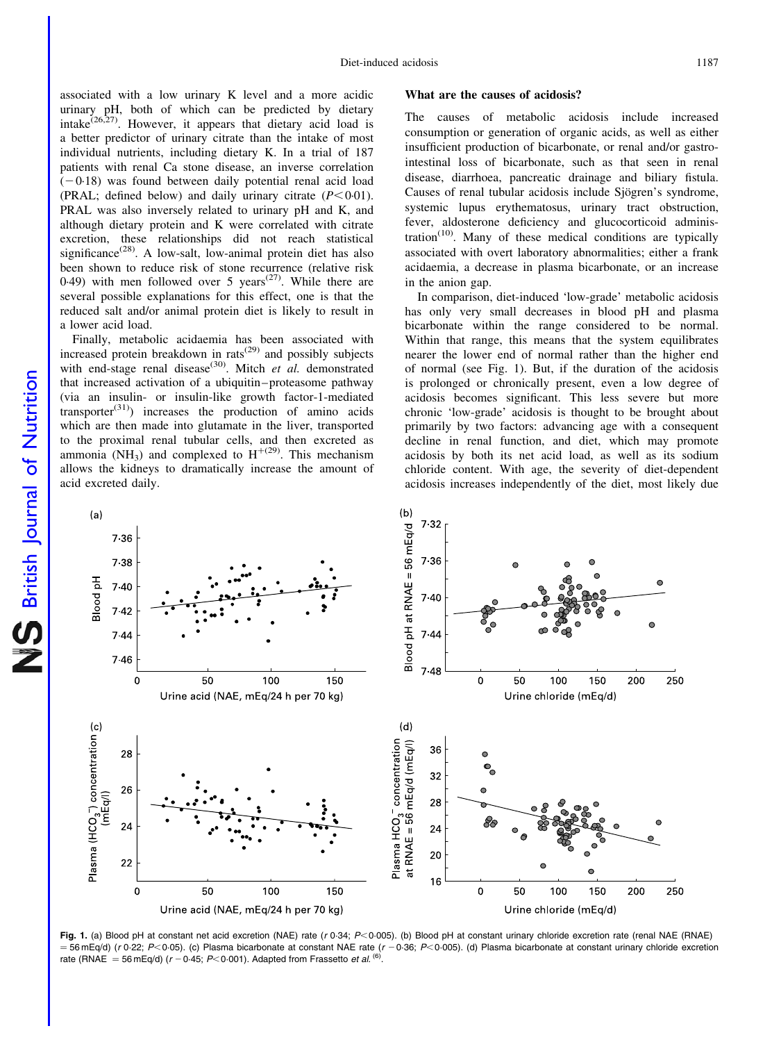associated with a low urinary K level and a more acidic urinary pH, both of which can be predicted by dietary intake $^{(26,27)}$ . However, it appears that dietary acid load is a better predictor of urinary citrate than the intake of most individual nutrients, including dietary K. In a trial of 187 patients with renal Ca stone disease, an inverse correlation  $(-0.18)$  was found between daily potential renal acid load (PRAL; defined below) and daily urinary citrate  $(P<0.01)$ . PRAL was also inversely related to urinary pH and K, and although dietary protein and K were correlated with citrate excretion, these relationships did not reach statistical significance<sup> $(28)$ </sup>. A low-salt, low-animal protein diet has also been shown to reduce risk of stone recurrence (relative risk 0.49) with men followed over 5 years<sup> $(27)$ </sup>. While there are several possible explanations for this effect, one is that the reduced salt and/or animal protein diet is likely to result in a lower acid load.

Finally, metabolic acidaemia has been associated with increased protein breakdown in rats<sup> $(29)$ </sup> and possibly subjects with end-stage renal disease<sup>(30)</sup>. Mitch *et al.* demonstrated that increased activation of a ubiquitin–proteasome pathway (via an insulin- or insulin-like growth factor-1-mediated transporter<sup>(31)</sup>) increases the production of amino acids which are then made into glutamate in the liver, transported to the proximal renal tubular cells, and then excreted as ammonia (NH<sub>3</sub>) and complexed to  $H^{+(29)}$ . This mechanism allows the kidneys to dramatically increase the amount of acid excreted daily.

#### What are the causes of acidosis?

The causes of metabolic acidosis include increased consumption or generation of organic acids, as well as either insufficient production of bicarbonate, or renal and/or gastrointestinal loss of bicarbonate, such as that seen in renal disease, diarrhoea, pancreatic drainage and biliary fistula. Causes of renal tubular acidosis include Sjögren's syndrome, systemic lupus erythematosus, urinary tract obstruction, fever, aldosterone deficiency and glucocorticoid administration<sup> $(10)$ </sup>. Many of these medical conditions are typically associated with overt laboratory abnormalities; either a frank acidaemia, a decrease in plasma bicarbonate, or an increase in the anion gap.

In comparison, diet-induced 'low-grade' metabolic acidosis has only very small decreases in blood pH and plasma bicarbonate within the range considered to be normal. Within that range, this means that the system equilibrates nearer the lower end of normal rather than the higher end of normal (see Fig. 1). But, if the duration of the acidosis is prolonged or chronically present, even a low degree of acidosis becomes significant. This less severe but more chronic 'low-grade' acidosis is thought to be brought about primarily by two factors: advancing age with a consequent decline in renal function, and diet, which may promote acidosis by both its net acid load, as well as its sodium chloride content. With age, the severity of diet-dependent acidosis increases independently of the diet, most likely due



Fig. 1. (a) Blood pH at constant net acid excretion (NAE) rate (r 0·34;  $P < 0.005$ ). (b) Blood pH at constant urinary chloride excretion rate (renal NAE (RNAE)  $=$  56 mEq/d) (r 0·22; P<0·05). (c) Plasma bicarbonate at constant NAE rate (r -0·36; P<0·005). (d) Plasma bicarbonate at constant urinary chloride excretion rate (RNAE  $=$  56 mEq/d) (r - 0.45; P< 0.001). Adapted from Frassetto et al. (6).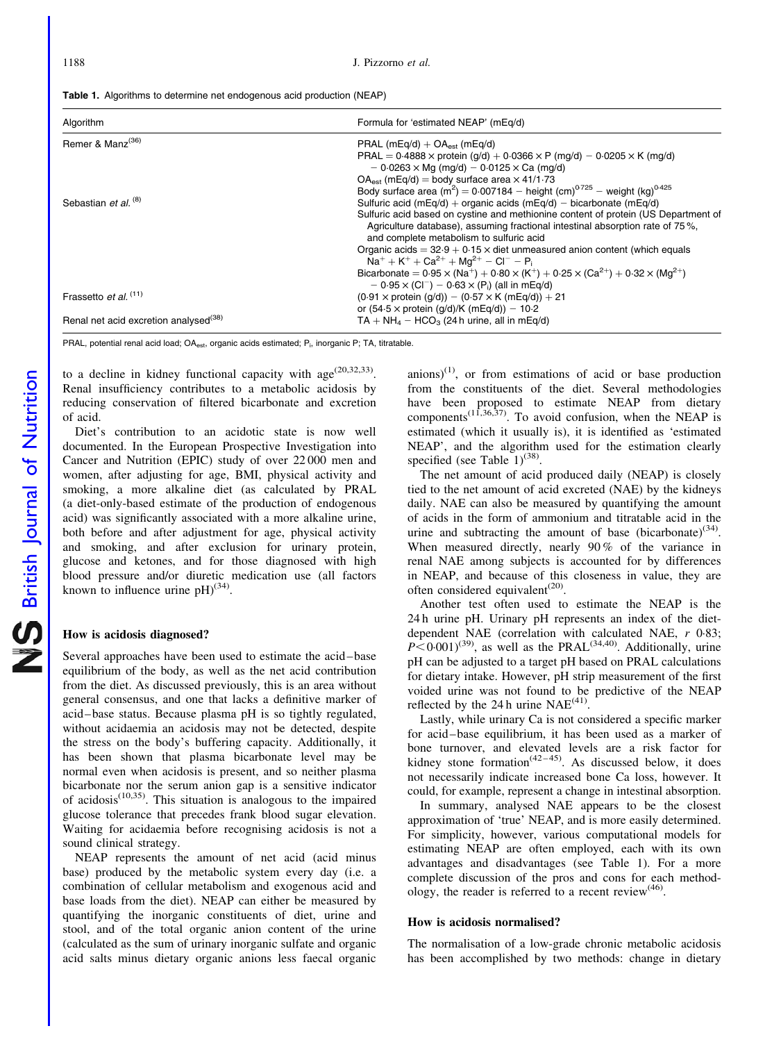| <b>Table 1.</b> Algorithms to determine net endogenous acid production (NEAP) |  |  |  |
|-------------------------------------------------------------------------------|--|--|--|
|-------------------------------------------------------------------------------|--|--|--|

| Algorithm                                                                                                                                 | Formula for 'estimated NEAP' (mEq/d)                                                                             |  |
|-------------------------------------------------------------------------------------------------------------------------------------------|------------------------------------------------------------------------------------------------------------------|--|
| Remer & Manz <sup>(36)</sup>                                                                                                              | PRAL (mEq/d) $+ OA_{est}$ (mEq/d)                                                                                |  |
|                                                                                                                                           | PRAL = $0.4888 \times$ protein (g/d) + $0.0366 \times$ P (mg/d) - $0.0205 \times$ K (mg/d)                       |  |
|                                                                                                                                           | $-0.0263 \times$ Mg (mg/d) $-0.0125 \times$ Ca (mg/d)<br>$OA_{est}$ (mEq/d) = body surface area $\times$ 41/1.73 |  |
|                                                                                                                                           | Body surface area (m <sup>2</sup> ) = 0.007184 - height (cm) <sup>0.725</sup> - weight (kg) <sup>0.425</sup>     |  |
| Sebastian et al. (8)                                                                                                                      | Sulfuric acid (mEq/d) + organic acids (mEq/d) - bicarbonate (mEq/d)                                              |  |
|                                                                                                                                           | Sulfuric acid based on cystine and methionine content of protein (US Department of                               |  |
|                                                                                                                                           | Agriculture database), assuming fractional intestinal absorption rate of 75%.                                    |  |
|                                                                                                                                           | and complete metabolism to sulfuric acid                                                                         |  |
| Organic acids = $32.9 + 0.15 \times$ diet unmeasured anion content (which equals<br>$Na^{+} + K^{+} + Ca^{2+} + Ma^{2+} - Cl^{-} - P_{1}$ |                                                                                                                  |  |
|                                                                                                                                           | Bicarbonate = $0.95 \times (Na^{+}) + 0.80 \times (K^{+}) + 0.25 \times (Ca^{2+}) + 0.32 \times (Ma^{2+})$       |  |
|                                                                                                                                           | $-0.95 \times (CI^{-}) - 0.63 \times (P_i)$ (all in mEq/d)                                                       |  |
| Frassetto et al. <sup>(11)</sup>                                                                                                          | $(0.91 \times$ protein $(q/d)) - (0.57 \times K$ (mEq/d)) + 21                                                   |  |
|                                                                                                                                           | or $(54.5 \times$ protein $(q/d)/K$ (mEq/d)) - 10.2                                                              |  |
| Renal net acid excretion analysed <sup>(38)</sup>                                                                                         | $TA + NH4 - HCO3$ (24 h urine, all in mEq/d)                                                                     |  |

PRAL, potential renal acid load; OA<sub>est</sub>, organic acids estimated; P<sub>i</sub>, inorganic P; TA, titratable.

to a decline in kidney functional capacity with  $age^{(20,32,33)}$ . Renal insufficiency contributes to a metabolic acidosis by reducing conservation of filtered bicarbonate and excretion of acid.

Diet's contribution to an acidotic state is now well documented. In the European Prospective Investigation into Cancer and Nutrition (EPIC) study of over 22 000 men and women, after adjusting for age, BMI, physical activity and smoking, a more alkaline diet (as calculated by PRAL (a diet-only-based estimate of the production of endogenous acid) was significantly associated with a more alkaline urine, both before and after adjustment for age, physical activity and smoking, and after exclusion for urinary protein, glucose and ketones, and for those diagnosed with high blood pressure and/or diuretic medication use (all factors known to influence urine  $pH$ <sup>(34)</sup>.

#### How is acidosis diagnosed?

Several approaches have been used to estimate the acid–base equilibrium of the body, as well as the net acid contribution from the diet. As discussed previously, this is an area without general consensus, and one that lacks a definitive marker of acid–base status. Because plasma pH is so tightly regulated, without acidaemia an acidosis may not be detected, despite the stress on the body's buffering capacity. Additionally, it has been shown that plasma bicarbonate level may be normal even when acidosis is present, and so neither plasma bicarbonate nor the serum anion gap is a sensitive indicator of acidosis<sup> $(10,35)$ </sup>. This situation is analogous to the impaired glucose tolerance that precedes frank blood sugar elevation. Waiting for acidaemia before recognising acidosis is not a sound clinical strategy.

NEAP represents the amount of net acid (acid minus base) produced by the metabolic system every day (i.e. a combination of cellular metabolism and exogenous acid and base loads from the diet). NEAP can either be measured by quantifying the inorganic constituents of diet, urine and stool, and of the total organic anion content of the urine (calculated as the sum of urinary inorganic sulfate and organic acid salts minus dietary organic anions less faecal organic

 $\text{anions}^{(1)}$ , or from estimations of acid or base production from the constituents of the diet. Several methodologies have been proposed to estimate NEAP from dietary components<sup>(11,36,37)</sup>. To avoid confusion, when the NEAP is estimated (which it usually is), it is identified as 'estimated NEAP', and the algorithm used for the estimation clearly specified (see Table  $1)^{(38)}$ .

The net amount of acid produced daily (NEAP) is closely tied to the net amount of acid excreted (NAE) by the kidneys daily. NAE can also be measured by quantifying the amount of acids in the form of ammonium and titratable acid in the urine and subtracting the amount of base (bicarbonate)<sup>(34)</sup>. When measured directly, nearly 90% of the variance in renal NAE among subjects is accounted for by differences in NEAP, and because of this closeness in value, they are often considered equivalent<sup>(20)</sup>.

Another test often used to estimate the NEAP is the 24 h urine pH. Urinary pH represents an index of the dietdependent NAE (correlation with calculated NAE,  $r$  0.83;  $P \leq 0.001$ <sup>(39)</sup>, as well as the PRAL<sup>(34,40)</sup>. Additionally, urine pH can be adjusted to a target pH based on PRAL calculations for dietary intake. However, pH strip measurement of the first voided urine was not found to be predictive of the NEAP reflected by the 24 h urine  $NAE^{(41)}$ .

Lastly, while urinary Ca is not considered a specific marker for acid–base equilibrium, it has been used as a marker of bone turnover, and elevated levels are a risk factor for kidney stone formation<sup> $(42-45)$ </sup>. As discussed below, it does not necessarily indicate increased bone Ca loss, however. It could, for example, represent a change in intestinal absorption.

In summary, analysed NAE appears to be the closest approximation of 'true' NEAP, and is more easily determined. For simplicity, however, various computational models for estimating NEAP are often employed, each with its own advantages and disadvantages (see Table 1). For a more complete discussion of the pros and cons for each methodology, the reader is referred to a recent review<sup> $(46)$ </sup>.

#### How is acidosis normalised?

The normalisation of a low-grade chronic metabolic acidosis has been accomplished by two methods: change in dietary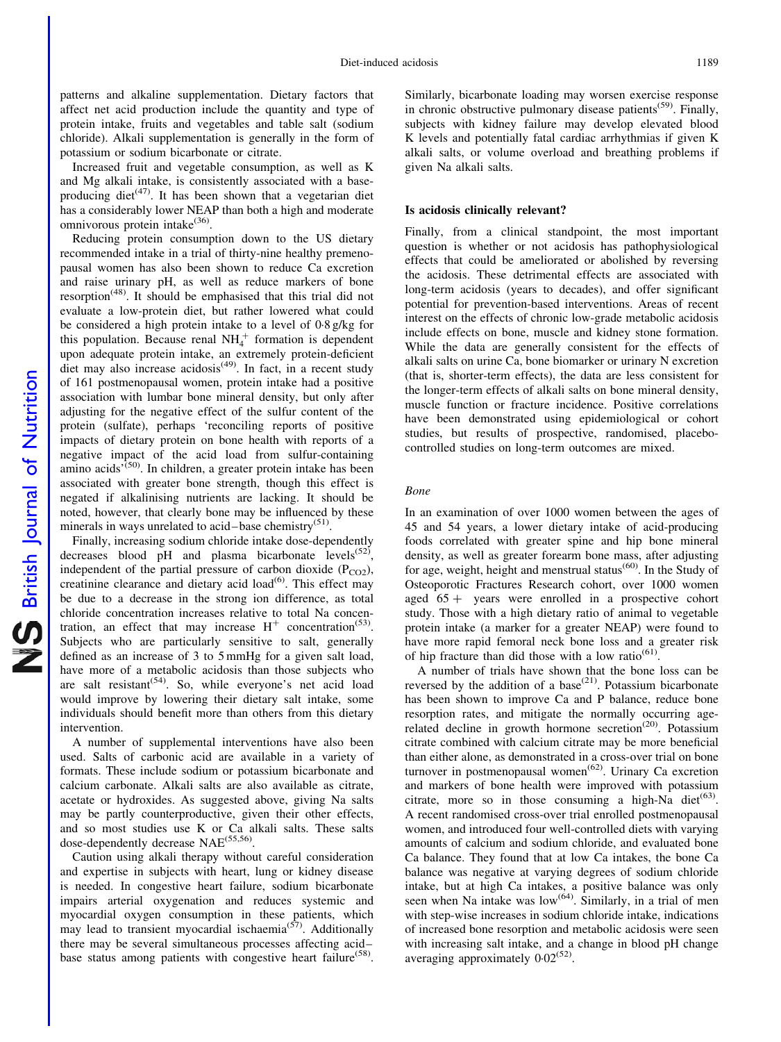patterns and alkaline supplementation. Dietary factors that affect net acid production include the quantity and type of protein intake, fruits and vegetables and table salt (sodium chloride). Alkali supplementation is generally in the form of potassium or sodium bicarbonate or citrate.

Increased fruit and vegetable consumption, as well as K and Mg alkali intake, is consistently associated with a baseproducing diet<sup> $(47)$ </sup>. It has been shown that a vegetarian diet has a considerably lower NEAP than both a high and moderate omnivorous protein intake<sup>(36)</sup>.

Reducing protein consumption down to the US dietary recommended intake in a trial of thirty-nine healthy premenopausal women has also been shown to reduce Ca excretion and raise urinary pH, as well as reduce markers of bone resorption<sup>(48)</sup>. It should be emphasised that this trial did not evaluate a low-protein diet, but rather lowered what could be considered a high protein intake to a level of 0·8 g/kg for this population. Because renal  $NH<sub>4</sub><sup>+</sup>$  formation is dependent upon adequate protein intake, an extremely protein-deficient diet may also increase acidosis<sup>(49)</sup>. In fact, in a recent study of 161 postmenopausal women, protein intake had a positive association with lumbar bone mineral density, but only after adjusting for the negative effect of the sulfur content of the protein (sulfate), perhaps 'reconciling reports of positive impacts of dietary protein on bone health with reports of a negative impact of the acid load from sulfur-containing amino acids<sup>7(50)</sup>. In children, a greater protein intake has been associated with greater bone strength, though this effect is negated if alkalinising nutrients are lacking. It should be noted, however, that clearly bone may be influenced by these minerals in ways unrelated to acid–base chemistry<sup>(51)</sup>.

Finally, increasing sodium chloride intake dose-dependently decreases blood pH and plasma bicarbonate  $levels^{(52)}$ , independent of the partial pressure of carbon dioxide  $(P_{CO2})$ , creatinine clearance and dietary acid load<sup>(6)</sup>. This effect may be due to a decrease in the strong ion difference, as total chloride concentration increases relative to total Na concentration, an effect that may increase  $H^+$  concentration<sup>(53)</sup>. Subjects who are particularly sensitive to salt, generally defined as an increase of 3 to 5 mmHg for a given salt load, have more of a metabolic acidosis than those subjects who are salt resistant<sup> $(54)$ </sup>. So, while everyone's net acid load would improve by lowering their dietary salt intake, some individuals should benefit more than others from this dietary intervention.

A number of supplemental interventions have also been used. Salts of carbonic acid are available in a variety of formats. These include sodium or potassium bicarbonate and calcium carbonate. Alkali salts are also available as citrate, acetate or hydroxides. As suggested above, giving Na salts may be partly counterproductive, given their other effects, and so most studies use K or Ca alkali salts. These salts dose-dependently decrease NAE<sup>(55,56)</sup>.

Caution using alkali therapy without careful consideration and expertise in subjects with heart, lung or kidney disease is needed. In congestive heart failure, sodium bicarbonate impairs arterial oxygenation and reduces systemic and myocardial oxygen consumption in these patients, which may lead to transient myocardial ischaemia<sup>(57)</sup>. Additionally there may be several simultaneous processes affecting acid– base status among patients with congestive heart failure<sup>(58)</sup>.

Similarly, bicarbonate loading may worsen exercise response in chronic obstructive pulmonary disease patients<sup>(59)</sup>. Finally, subjects with kidney failure may develop elevated blood K levels and potentially fatal cardiac arrhythmias if given K alkali salts, or volume overload and breathing problems if given Na alkali salts.

#### Is acidosis clinically relevant?

Finally, from a clinical standpoint, the most important question is whether or not acidosis has pathophysiological effects that could be ameliorated or abolished by reversing the acidosis. These detrimental effects are associated with long-term acidosis (years to decades), and offer significant potential for prevention-based interventions. Areas of recent interest on the effects of chronic low-grade metabolic acidosis include effects on bone, muscle and kidney stone formation. While the data are generally consistent for the effects of alkali salts on urine Ca, bone biomarker or urinary N excretion (that is, shorter-term effects), the data are less consistent for the longer-term effects of alkali salts on bone mineral density, muscle function or fracture incidence. Positive correlations have been demonstrated using epidemiological or cohort studies, but results of prospective, randomised, placebocontrolled studies on long-term outcomes are mixed.

#### Bone

In an examination of over 1000 women between the ages of 45 and 54 years, a lower dietary intake of acid-producing foods correlated with greater spine and hip bone mineral density, as well as greater forearm bone mass, after adjusting for age, weight, height and menstrual status<sup>(60)</sup>. In the Study of Osteoporotic Fractures Research cohort, over 1000 women aged  $65 +$  years were enrolled in a prospective cohort study. Those with a high dietary ratio of animal to vegetable protein intake (a marker for a greater NEAP) were found to have more rapid femoral neck bone loss and a greater risk of hip fracture than did those with a low ratio<sup>(61)</sup>.

A number of trials have shown that the bone loss can be reversed by the addition of a base<sup> $(21)$ </sup>. Potassium bicarbonate has been shown to improve Ca and P balance, reduce bone resorption rates, and mitigate the normally occurring agerelated decline in growth hormone secretion<sup>(20)</sup>. Potassium citrate combined with calcium citrate may be more beneficial than either alone, as demonstrated in a cross-over trial on bone turnover in postmenopausal women<sup>(62)</sup>. Urinary Ca excretion and markers of bone health were improved with potassium citrate, more so in those consuming a high-Na diet<sup>(63)</sup>. A recent randomised cross-over trial enrolled postmenopausal women, and introduced four well-controlled diets with varying amounts of calcium and sodium chloride, and evaluated bone Ca balance. They found that at low Ca intakes, the bone Ca balance was negative at varying degrees of sodium chloride intake, but at high Ca intakes, a positive balance was only seen when Na intake was  $low^{(64)}$ . Similarly, in a trial of men with step-wise increases in sodium chloride intake, indications of increased bone resorption and metabolic acidosis were seen with increasing salt intake, and a change in blood pH change averaging approximately  $0.02^{(52)}$ .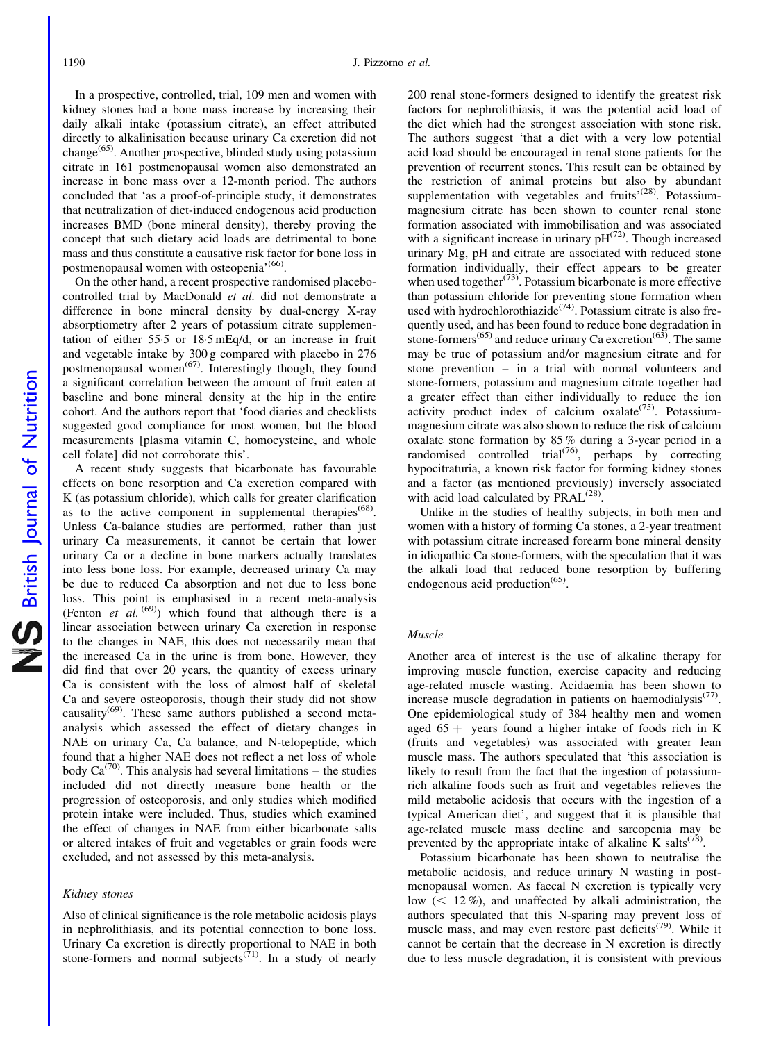In a prospective, controlled, trial, 109 men and women with kidney stones had a bone mass increase by increasing their daily alkali intake (potassium citrate), an effect attributed directly to alkalinisation because urinary Ca excretion did not change<sup> $(65)$ </sup>. Another prospective, blinded study using potassium citrate in 161 postmenopausal women also demonstrated an increase in bone mass over a 12-month period. The authors concluded that 'as a proof-of-principle study, it demonstrates that neutralization of diet-induced endogenous acid production increases BMD (bone mineral density), thereby proving the concept that such dietary acid loads are detrimental to bone mass and thus constitute a causative risk factor for bone loss in postmenopausal women with osteopenia<sup>'(66)</sup>.

On the other hand, a recent prospective randomised placebocontrolled trial by MacDonald et al. did not demonstrate a difference in bone mineral density by dual-energy X-ray absorptiometry after 2 years of potassium citrate supplementation of either 55·5 or 18·5 mEq/d, or an increase in fruit and vegetable intake by 300 g compared with placebo in 276 postmenopausal women<sup> $(67)$ </sup>. Interestingly though, they found a significant correlation between the amount of fruit eaten at baseline and bone mineral density at the hip in the entire cohort. And the authors report that 'food diaries and checklists suggested good compliance for most women, but the blood measurements [plasma vitamin C, homocysteine, and whole cell folate] did not corroborate this'.

A recent study suggests that bicarbonate has favourable effects on bone resorption and Ca excretion compared with K (as potassium chloride), which calls for greater clarification as to the active component in supplemental therapies<sup>(68)</sup>. Unless Ca-balance studies are performed, rather than just urinary Ca measurements, it cannot be certain that lower urinary Ca or a decline in bone markers actually translates into less bone loss. For example, decreased urinary Ca may be due to reduced Ca absorption and not due to less bone loss. This point is emphasised in a recent meta-analysis (Fenton et al.  $(69)$ ) which found that although there is a linear association between urinary Ca excretion in response to the changes in NAE, this does not necessarily mean that the increased Ca in the urine is from bone. However, they did find that over 20 years, the quantity of excess urinary Ca is consistent with the loss of almost half of skeletal Ca and severe osteoporosis, though their study did not show causality<sup>(69)</sup>. These same authors published a second metaanalysis which assessed the effect of dietary changes in NAE on urinary Ca, Ca balance, and N-telopeptide, which found that a higher NAE does not reflect a net loss of whole body  $Ca^{(70)}$ . This analysis had several limitations – the studies included did not directly measure bone health or the progression of osteoporosis, and only studies which modified protein intake were included. Thus, studies which examined the effect of changes in NAE from either bicarbonate salts or altered intakes of fruit and vegetables or grain foods were excluded, and not assessed by this meta-analysis.

#### Kidney stones

Also of clinical significance is the role metabolic acidosis plays in nephrolithiasis, and its potential connection to bone loss. Urinary Ca excretion is directly proportional to NAE in both strone-formers and normal subjects $(71)$ . In a study of nearly

200 renal stone-formers designed to identify the greatest risk factors for nephrolithiasis, it was the potential acid load of the diet which had the strongest association with stone risk. The authors suggest 'that a diet with a very low potential acid load should be encouraged in renal stone patients for the prevention of recurrent stones. This result can be obtained by the restriction of animal proteins but also by abundant supplementation with vegetables and fruits<sup> $(28)$ </sup>. Potassiummagnesium citrate has been shown to counter renal stone formation associated with immobilisation and was associated with a significant increase in urinary  $pH^{(72)}$ . Though increased urinary Mg, pH and citrate are associated with reduced stone formation individually, their effect appears to be greater when used together $^{(73)}$ . Potassium bicarbonate is more effective than potassium chloride for preventing stone formation when used with hydrochlorothiazide<sup> $(74)$ </sup>. Potassium citrate is also frequently used, and has been found to reduce bone degradation in stone-formers<sup>(65)</sup> and reduce urinary Ca excretion<sup>(63)</sup>. The same may be true of potassium and/or magnesium citrate and for stone prevention – in a trial with normal volunteers and stone-formers, potassium and magnesium citrate together had a greater effect than either individually to reduce the ion activity product index of calcium oxalate<sup> $(75)$ </sup>. Potassiummagnesium citrate was also shown to reduce the risk of calcium oxalate stone formation by 85 % during a 3-year period in a randomised controlled trial<sup> $(76)$ </sup>, perhaps by correcting hypocitraturia, a known risk factor for forming kidney stones and a factor (as mentioned previously) inversely associated with acid load calculated by PRAL<sup>(28)</sup>.

Unlike in the studies of healthy subjects, in both men and women with a history of forming Ca stones, a 2-year treatment with potassium citrate increased forearm bone mineral density in idiopathic Ca stone-formers, with the speculation that it was the alkali load that reduced bone resorption by buffering endogenous acid production<sup>(65)</sup>.

#### Muscle

Another area of interest is the use of alkaline therapy for improving muscle function, exercise capacity and reducing age-related muscle wasting. Acidaemia has been shown to increase muscle degradation in patients on haemodialysis<sup> $(77)$ </sup>. One epidemiological study of 384 healthy men and women aged  $65 +$  years found a higher intake of foods rich in K (fruits and vegetables) was associated with greater lean muscle mass. The authors speculated that 'this association is likely to result from the fact that the ingestion of potassiumrich alkaline foods such as fruit and vegetables relieves the mild metabolic acidosis that occurs with the ingestion of a typical American diet', and suggest that it is plausible that age-related muscle mass decline and sarcopenia may be prevented by the appropriate intake of alkaline K salts<sup> $(78)$ </sup>.

Potassium bicarbonate has been shown to neutralise the metabolic acidosis, and reduce urinary N wasting in postmenopausal women. As faecal N excretion is typically very low  $(< 12\%$ ), and unaffected by alkali administration, the authors speculated that this N-sparing may prevent loss of muscle mass, and may even restore past deficits<sup> $(79)$ </sup>. While it cannot be certain that the decrease in N excretion is directly due to less muscle degradation, it is consistent with previous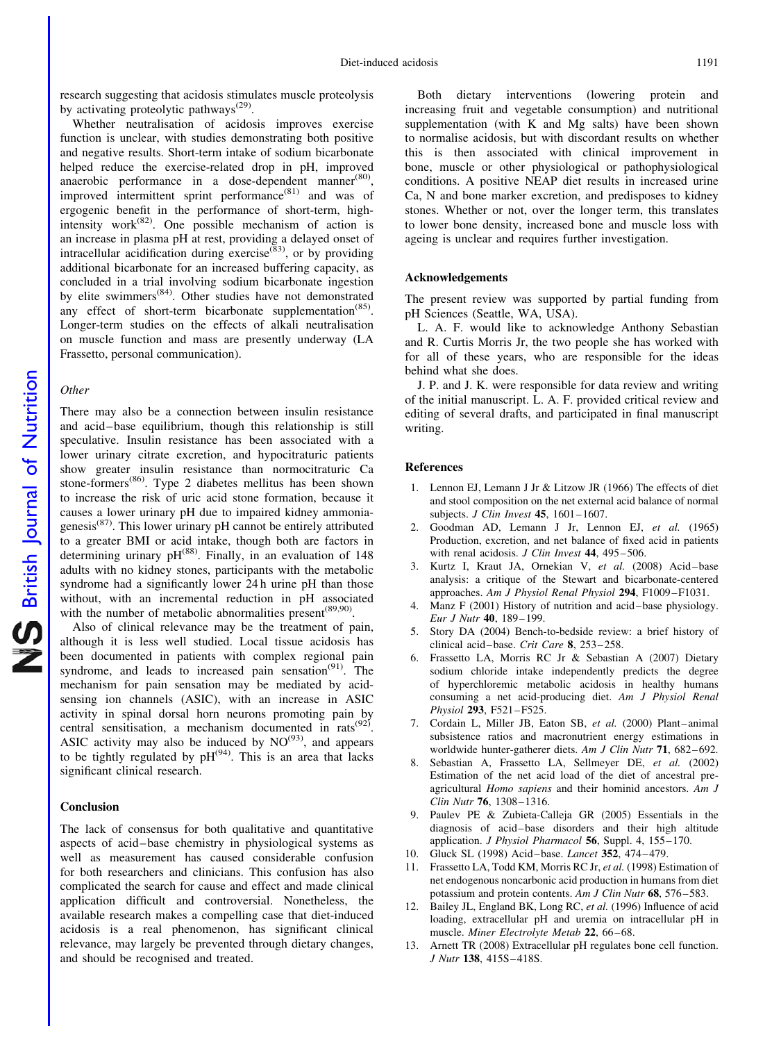research suggesting that acidosis stimulates muscle proteolysis by activating proteolytic pathways<sup> $(29)$ </sup>.

Whether neutralisation of acidosis improves exercise function is unclear, with studies demonstrating both positive and negative results. Short-term intake of sodium bicarbonate helped reduce the exercise-related drop in pH, improved anaerobic performance in a dose-dependent manner $(80)$ , improved intermittent sprint performance<sup>(81)</sup> and was of ergogenic benefit in the performance of short-term, highintensity work $(82)$ . One possible mechanism of action is an increase in plasma pH at rest, providing a delayed onset of intracellular acidification during exercise $(83)$ , or by providing additional bicarbonate for an increased buffering capacity, as concluded in a trial involving sodium bicarbonate ingestion by elite swimmers<sup>(84)</sup>. Other studies have not demonstrated any effect of short-term bicarbonate supplementation<sup> $(85)$ </sup>. Longer-term studies on the effects of alkali neutralisation on muscle function and mass are presently underway (LA Frassetto, personal communication).

#### **Other**

There may also be a connection between insulin resistance and acid–base equilibrium, though this relationship is still speculative. Insulin resistance has been associated with a lower urinary citrate excretion, and hypocitraturic patients show greater insulin resistance than normocitraturic Ca stone-formers(86). Type 2 diabetes mellitus has been shown to increase the risk of uric acid stone formation, because it causes a lower urinary pH due to impaired kidney ammoniagenesis(87). This lower urinary pH cannot be entirely attributed to a greater BMI or acid intake, though both are factors in determining urinary  $pH<sup>(88)</sup>$ . Finally, in an evaluation of 148 adults with no kidney stones, participants with the metabolic syndrome had a significantly lower 24 h urine pH than those without, with an incremental reduction in pH associated with the number of metabolic abnormalities present<sup>(89,90)</sup>.

Also of clinical relevance may be the treatment of pain, although it is less well studied. Local tissue acidosis has been documented in patients with complex regional pain syndrome, and leads to increased pain sensation $(91)$ . The mechanism for pain sensation may be mediated by acidsensing ion channels (ASIC), with an increase in ASIC activity in spinal dorsal horn neurons promoting pain by central sensitisation, a mechanism documented in rats<sup>(92)</sup>. ASIC activity may also be induced by  $NO<sup>(93)</sup>$ , and appears to be tightly regulated by  $pH^{(94)}$ . This is an area that lacks significant clinical research.

#### **Conclusion**

The lack of consensus for both qualitative and quantitative aspects of acid–base chemistry in physiological systems as well as measurement has caused considerable confusion for both researchers and clinicians. This confusion has also complicated the search for cause and effect and made clinical application difficult and controversial. Nonetheless, the available research makes a compelling case that diet-induced acidosis is a real phenomenon, has significant clinical relevance, may largely be prevented through dietary changes, and should be recognised and treated.

Both dietary interventions (lowering protein and increasing fruit and vegetable consumption) and nutritional supplementation (with K and Mg salts) have been shown to normalise acidosis, but with discordant results on whether this is then associated with clinical improvement in bone, muscle or other physiological or pathophysiological conditions. A positive NEAP diet results in increased urine Ca, N and bone marker excretion, and predisposes to kidney stones. Whether or not, over the longer term, this translates to lower bone density, increased bone and muscle loss with ageing is unclear and requires further investigation.

#### Acknowledgements

The present review was supported by partial funding from pH Sciences (Seattle, WA, USA).

L. A. F. would like to acknowledge Anthony Sebastian and R. Curtis Morris Jr, the two people she has worked with for all of these years, who are responsible for the ideas behind what she does.

J. P. and J. K. were responsible for data review and writing of the initial manuscript. L. A. F. provided critical review and editing of several drafts, and participated in final manuscript writing.

#### References

- 1. Lennon EJ, Lemann J Jr & Litzow JR (1966) The effects of diet and stool composition on the net external acid balance of normal subjects. *J Clin Invest* **45**, 1601-1607.
- 2. Goodman AD, Lemann J Jr, Lennon EJ, et al. (1965) Production, excretion, and net balance of fixed acid in patients with renal acidosis. J Clin Invest 44, 495-506.
- 3. Kurtz I, Kraut JA, Ornekian V, et al. (2008) Acid–base analysis: a critique of the Stewart and bicarbonate-centered approaches. Am J Physiol Renal Physiol 294, F1009–F1031.
- 4. Manz F (2001) History of nutrition and acid–base physiology. Eur J Nutr 40, 189–199.
- 5. Story DA (2004) Bench-to-bedside review: a brief history of clinical acid–base. Crit Care 8, 253–258.
- 6. Frassetto LA, Morris RC Jr & Sebastian A (2007) Dietary sodium chloride intake independently predicts the degree of hyperchloremic metabolic acidosis in healthy humans consuming a net acid-producing diet. Am J Physiol Renal Physiol 293, F521–F525.
- 7. Cordain L, Miller JB, Eaton SB, et al. (2000) Plant–animal subsistence ratios and macronutrient energy estimations in worldwide hunter-gatherer diets. Am J Clin Nutr 71, 682–692.
- 8. Sebastian A, Frassetto LA, Sellmeyer DE, et al. (2002) Estimation of the net acid load of the diet of ancestral preagricultural Homo sapiens and their hominid ancestors. Am J Clin Nutr 76, 1308–1316.
- 9. Paulev PE & Zubieta-Calleja GR (2005) Essentials in the diagnosis of acid–base disorders and their high altitude application. J Physiol Pharmacol 56, Suppl. 4, 155–170.
- 10. Gluck SL (1998) Acid–base. Lancet 352, 474–479.
- 11. Frassetto LA, Todd KM, Morris RC Jr, et al. (1998) Estimation of net endogenous noncarbonic acid production in humans from diet potassium and protein contents. Am J Clin Nutr 68, 576–583.
- 12. Bailey JL, England BK, Long RC, et al. (1996) Influence of acid loading, extracellular pH and uremia on intracellular pH in muscle. Miner Electrolyte Metab 22, 66–68.
- 13. Arnett TR (2008) Extracellular pH regulates bone cell function. J Nutr 138, 415S–418S.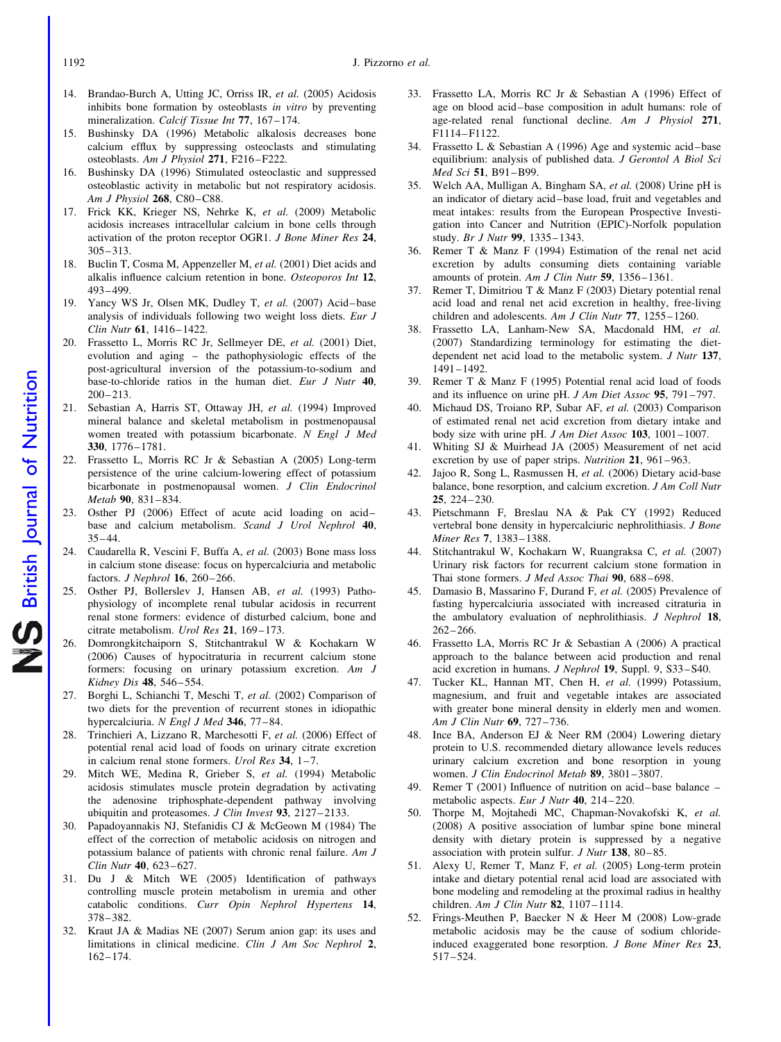- 14. Brandao-Burch A, Utting JC, Orriss IR, et al. (2005) Acidosis inhibits bone formation by osteoblasts in vitro by preventing mineralization. Calcif Tissue Int 77, 167-174.
- 15. Bushinsky DA (1996) Metabolic alkalosis decreases bone calcium efflux by suppressing osteoclasts and stimulating osteoblasts. Am J Physiol 271, F216–F222.
- 16. Bushinsky DA (1996) Stimulated osteoclastic and suppressed osteoblastic activity in metabolic but not respiratory acidosis. Am J Physiol 268, C80–C88.
- 17. Frick KK, Krieger NS, Nehrke K, et al. (2009) Metabolic acidosis increases intracellular calcium in bone cells through activation of the proton receptor OGR1. J Bone Miner Res 24, 305–313.
- 18. Buclin T, Cosma M, Appenzeller M, et al. (2001) Diet acids and alkalis influence calcium retention in bone. Osteoporos Int 12, 493–499.
- 19. Yancy WS Jr, Olsen MK, Dudley T, et al. (2007) Acid–base analysis of individuals following two weight loss diets. Eur J Clin Nutr 61, 1416–1422.
- 20. Frassetto L, Morris RC Jr, Sellmeyer DE, et al. (2001) Diet, evolution and aging – the pathophysiologic effects of the post-agricultural inversion of the potassium-to-sodium and base-to-chloride ratios in the human diet. Eur J Nutr 40, 200–213.
- 21. Sebastian A, Harris ST, Ottaway JH, et al. (1994) Improved mineral balance and skeletal metabolism in postmenopausal women treated with potassium bicarbonate. N Engl J Med 330, 1776–1781.
- 22. Frassetto L, Morris RC Jr & Sebastian A (2005) Long-term persistence of the urine calcium-lowering effect of potassium bicarbonate in postmenopausal women. J Clin Endocrinol Metab 90, 831–834.
- 23. Osther PJ (2006) Effect of acute acid loading on acid– base and calcium metabolism. Scand J Urol Nephrol 40, 35–44.
- 24. Caudarella R, Vescini F, Buffa A, et al. (2003) Bone mass loss in calcium stone disease: focus on hypercalciuria and metabolic factors. J Nephrol 16, 260–266.
- 25. Osther PJ, Bollerslev J, Hansen AB, et al. (1993) Pathophysiology of incomplete renal tubular acidosis in recurrent renal stone formers: evidence of disturbed calcium, bone and citrate metabolism. Urol Res 21, 169–173.
- 26. Domrongkitchaiporn S, Stitchantrakul W & Kochakarn W (2006) Causes of hypocitraturia in recurrent calcium stone formers: focusing on urinary potassium excretion. Am J Kidney Dis 48, 546–554.
- 27. Borghi L, Schianchi T, Meschi T, et al. (2002) Comparison of two diets for the prevention of recurrent stones in idiopathic hypercalciuria. N Engl J Med 346, 77–84.
- 28. Trinchieri A, Lizzano R, Marchesotti F, et al. (2006) Effect of potential renal acid load of foods on urinary citrate excretion in calcium renal stone formers. Urol Res 34, 1–7.
- 29. Mitch WE, Medina R, Grieber S, et al. (1994) Metabolic acidosis stimulates muscle protein degradation by activating the adenosine triphosphate-dependent pathway involving ubiquitin and proteasomes. J Clin Invest 93, 2127–2133.
- 30. Papadoyannakis NJ, Stefanidis CJ & McGeown M (1984) The effect of the correction of metabolic acidosis on nitrogen and potassium balance of patients with chronic renal failure. Am J Clin Nutr 40, 623–627.
- 31. Du J & Mitch WE (2005) Identification of pathways controlling muscle protein metabolism in uremia and other catabolic conditions. Curr Opin Nephrol Hypertens 14, 378–382.
- 32. Kraut JA & Madias NE (2007) Serum anion gap: its uses and limitations in clinical medicine. Clin J Am Soc Nephrol 2, 162–174.
- 33. Frassetto LA, Morris RC Jr & Sebastian A (1996) Effect of age on blood acid–base composition in adult humans: role of age-related renal functional decline. Am J Physiol 271, F1114–F1122.
- 34. Frassetto L & Sebastian A (1996) Age and systemic acid–base equilibrium: analysis of published data. J Gerontol A Biol Sci Med Sci 51, B91–B99.
- 35. Welch AA, Mulligan A, Bingham SA, et al. (2008) Urine pH is an indicator of dietary acid–base load, fruit and vegetables and meat intakes: results from the European Prospective Investigation into Cancer and Nutrition (EPIC)-Norfolk population study. Br J Nutr 99, 1335–1343.
- 36. Remer T & Manz F (1994) Estimation of the renal net acid excretion by adults consuming diets containing variable amounts of protein. Am J Clin Nutr 59, 1356–1361.
- 37. Remer T, Dimitriou T & Manz F (2003) Dietary potential renal acid load and renal net acid excretion in healthy, free-living children and adolescents. Am J Clin Nutr 77, 1255–1260.
- 38. Frassetto LA, Lanham-New SA, Macdonald HM, et al. (2007) Standardizing terminology for estimating the dietdependent net acid load to the metabolic system. J Nutr 137, 1491–1492.
- 39. Remer T & Manz F (1995) Potential renal acid load of foods and its influence on urine pH. J Am Diet Assoc 95, 791–797.
- 40. Michaud DS, Troiano RP, Subar AF, et al. (2003) Comparison of estimated renal net acid excretion from dietary intake and body size with urine pH. J Am Diet Assoc 103, 1001–1007.
- 41. Whiting SJ & Muirhead JA (2005) Measurement of net acid excretion by use of paper strips. Nutrition 21, 961–963.
- 42. Jajoo R, Song L, Rasmussen H, et al. (2006) Dietary acid-base balance, bone resorption, and calcium excretion. J Am Coll Nutr 25, 224–230.
- 43. Pietschmann F, Breslau NA & Pak CY (1992) Reduced vertebral bone density in hypercalciuric nephrolithiasis. J Bone Miner Res 7, 1383–1388.
- 44. Stitchantrakul W, Kochakarn W, Ruangraksa C, et al. (2007) Urinary risk factors for recurrent calcium stone formation in Thai stone formers. J Med Assoc Thai 90, 688–698.
- 45. Damasio B, Massarino F, Durand F, et al. (2005) Prevalence of fasting hypercalciuria associated with increased citraturia in the ambulatory evaluation of nephrolithiasis. J Nephrol 18, 262–266.
- 46. Frassetto LA, Morris RC Jr & Sebastian A (2006) A practical approach to the balance between acid production and renal acid excretion in humans. J Nephrol 19, Suppl. 9, S33–S40.
- 47. Tucker KL, Hannan MT, Chen H, et al. (1999) Potassium, magnesium, and fruit and vegetable intakes are associated with greater bone mineral density in elderly men and women. Am J Clin Nutr 69, 727–736.
- 48. Ince BA, Anderson EJ & Neer RM (2004) Lowering dietary protein to U.S. recommended dietary allowance levels reduces urinary calcium excretion and bone resorption in young women. J Clin Endocrinol Metab 89, 3801–3807.
- 49. Remer T (2001) Influence of nutrition on acid–base balance metabolic aspects. Eur J Nutr 40, 214–220.
- 50. Thorpe M, Mojtahedi MC, Chapman-Novakofski K, et al. (2008) A positive association of lumbar spine bone mineral density with dietary protein is suppressed by a negative association with protein sulfur. J Nutr 138, 80–85.
- 51. Alexy U, Remer T, Manz F, et al. (2005) Long-term protein intake and dietary potential renal acid load are associated with bone modeling and remodeling at the proximal radius in healthy children. Am J Clin Nutr 82, 1107–1114.
- 52. Frings-Meuthen P, Baecker N & Heer M (2008) Low-grade metabolic acidosis may be the cause of sodium chlorideinduced exaggerated bone resorption. J Bone Miner Res 23, 517–524.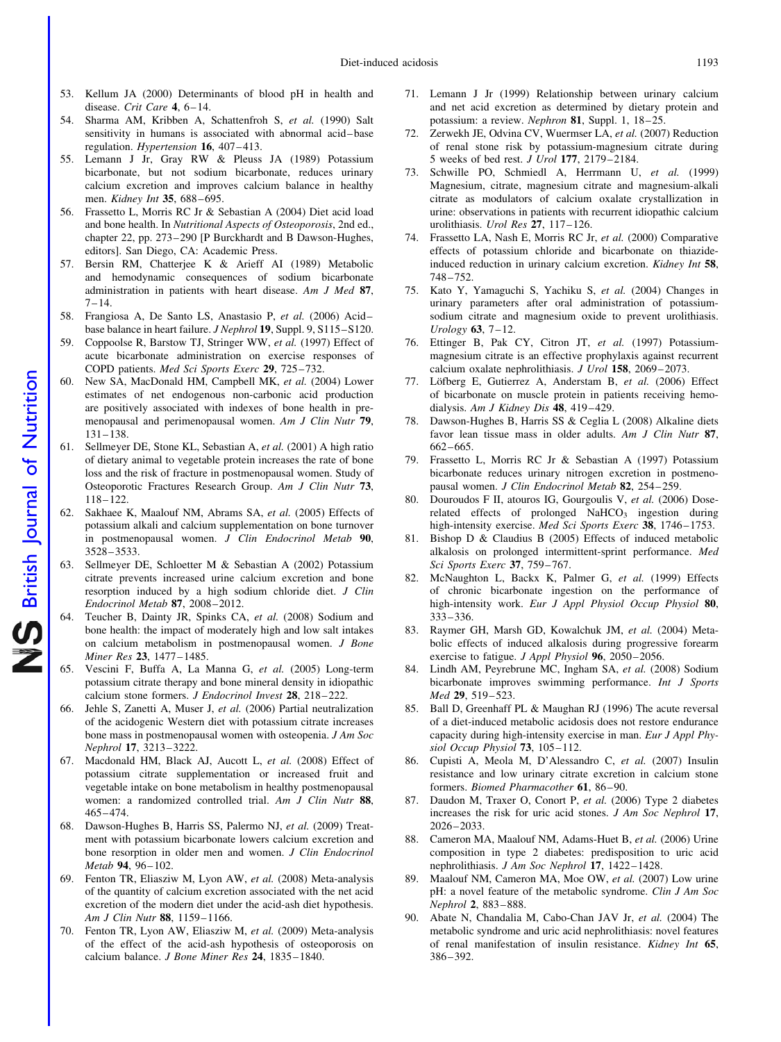- 53. Kellum JA (2000) Determinants of blood pH in health and disease. Crit Care 4, 6–14.
- 54. Sharma AM, Kribben A, Schattenfroh S, et al. (1990) Salt sensitivity in humans is associated with abnormal acid–base regulation. Hypertension 16, 407–413.
- 55. Lemann J Jr, Gray RW & Pleuss JA (1989) Potassium bicarbonate, but not sodium bicarbonate, reduces urinary calcium excretion and improves calcium balance in healthy men. Kidney Int 35, 688–695.
- 56. Frassetto L, Morris RC Jr & Sebastian A (2004) Diet acid load and bone health. In Nutritional Aspects of Osteoporosis, 2nd ed., chapter 22, pp. 273–290 [P Burckhardt and B Dawson-Hughes, editors]. San Diego, CA: Academic Press.
- 57. Bersin RM, Chatterjee K & Arieff AI (1989) Metabolic and hemodynamic consequences of sodium bicarbonate administration in patients with heart disease. Am J Med 87,  $7 - 14$
- 58. Frangiosa A, De Santo LS, Anastasio P, et al. (2006) Acid– base balance in heart failure. J Nephrol 19, Suppl. 9, S115–S120.
- 59. Coppoolse R, Barstow TJ, Stringer WW, et al. (1997) Effect of acute bicarbonate administration on exercise responses of COPD patients. Med Sci Sports Exerc 29, 725–732.
- 60. New SA, MacDonald HM, Campbell MK, et al. (2004) Lower estimates of net endogenous non-carbonic acid production are positively associated with indexes of bone health in premenopausal and perimenopausal women. Am J Clin Nutr 79, 131–138.
- 61. Sellmeyer DE, Stone KL, Sebastian A, et al. (2001) A high ratio of dietary animal to vegetable protein increases the rate of bone loss and the risk of fracture in postmenopausal women. Study of Osteoporotic Fractures Research Group. Am J Clin Nutr 73, 118–122.
- 62. Sakhaee K, Maalouf NM, Abrams SA, et al. (2005) Effects of potassium alkali and calcium supplementation on bone turnover in postmenopausal women. J Clin Endocrinol Metab 90, 3528–3533.
- 63. Sellmeyer DE, Schloetter M & Sebastian A (2002) Potassium citrate prevents increased urine calcium excretion and bone resorption induced by a high sodium chloride diet. J Clin Endocrinol Metab 87, 2008–2012.
- 64. Teucher B, Dainty JR, Spinks CA, et al. (2008) Sodium and bone health: the impact of moderately high and low salt intakes on calcium metabolism in postmenopausal women. J Bone Miner Res 23, 1477–1485.
- 65. Vescini F, Buffa A, La Manna G, et al. (2005) Long-term potassium citrate therapy and bone mineral density in idiopathic calcium stone formers. J Endocrinol Invest 28, 218–222.
- 66. Jehle S, Zanetti A, Muser J, et al. (2006) Partial neutralization of the acidogenic Western diet with potassium citrate increases bone mass in postmenopausal women with osteopenia. J Am Soc Nephrol 17, 3213–3222.
- 67. Macdonald HM, Black AJ, Aucott L, et al. (2008) Effect of potassium citrate supplementation or increased fruit and vegetable intake on bone metabolism in healthy postmenopausal women: a randomized controlled trial. Am J Clin Nutr 88, 465–474.
- 68. Dawson-Hughes B, Harris SS, Palermo NJ, et al. (2009) Treatment with potassium bicarbonate lowers calcium excretion and bone resorption in older men and women. J Clin Endocrinol Metab 94, 96–102.
- 69. Fenton TR, Eliasziw M, Lyon AW, et al. (2008) Meta-analysis of the quantity of calcium excretion associated with the net acid excretion of the modern diet under the acid-ash diet hypothesis. Am J Clin Nutr 88, 1159–1166.
- 70. Fenton TR, Lyon AW, Eliasziw M, et al. (2009) Meta-analysis of the effect of the acid-ash hypothesis of osteoporosis on calcium balance. J Bone Miner Res 24, 1835–1840.
- 71. Lemann J Jr (1999) Relationship between urinary calcium and net acid excretion as determined by dietary protein and potassium: a review. Nephron 81, Suppl. 1, 18–25.
- 72. Zerwekh JE, Odvina CV, Wuermser LA, et al. (2007) Reduction of renal stone risk by potassium-magnesium citrate during 5 weeks of bed rest. J Urol 177, 2179–2184.
- 73. Schwille PO, Schmiedl A, Herrmann U, et al. (1999) Magnesium, citrate, magnesium citrate and magnesium-alkali citrate as modulators of calcium oxalate crystallization in urine: observations in patients with recurrent idiopathic calcium urolithiasis. Urol Res 27, 117–126.
- 74. Frassetto LA, Nash E, Morris RC Jr, et al. (2000) Comparative effects of potassium chloride and bicarbonate on thiazideinduced reduction in urinary calcium excretion. Kidney Int 58, 748–752.
- 75. Kato Y, Yamaguchi S, Yachiku S, et al. (2004) Changes in urinary parameters after oral administration of potassiumsodium citrate and magnesium oxide to prevent urolithiasis. Urology 63, 7–12.
- 76. Ettinger B, Pak CY, Citron JT, et al. (1997) Potassiummagnesium citrate is an effective prophylaxis against recurrent calcium oxalate nephrolithiasis. J Urol 158, 2069–2073.
- 77. Löfberg E, Gutierrez A, Anderstam B, et al. (2006) Effect of bicarbonate on muscle protein in patients receiving hemodialysis. Am J Kidney Dis 48, 419-429.
- 78. Dawson-Hughes B, Harris SS & Ceglia L (2008) Alkaline diets favor lean tissue mass in older adults. Am J Clin Nutr 87, 662–665.
- 79. Frassetto L, Morris RC Jr & Sebastian A (1997) Potassium bicarbonate reduces urinary nitrogen excretion in postmenopausal women. J Clin Endocrinol Metab 82, 254–259.
- 80. Douroudos F II, atouros IG, Gourgoulis V, et al. (2006) Doserelated effects of prolonged  $NAHCO<sub>3</sub>$  ingestion during high-intensity exercise. Med Sci Sports Exerc 38, 1746-1753.
- 81. Bishop D & Claudius B (2005) Effects of induced metabolic alkalosis on prolonged intermittent-sprint performance. Med Sci Sports Exerc 37, 759–767.
- 82. McNaughton L, Backx K, Palmer G, et al. (1999) Effects of chronic bicarbonate ingestion on the performance of high-intensity work. Eur J Appl Physiol Occup Physiol 80, 333–336.
- 83. Raymer GH, Marsh GD, Kowalchuk JM, et al. (2004) Metabolic effects of induced alkalosis during progressive forearm exercise to fatigue. *J Appl Physiol* 96, 2050–2056.
- 84. Lindh AM, Peyrebrune MC, Ingham SA, et al. (2008) Sodium bicarbonate improves swimming performance. Int J Sports Med 29, 519–523.
- 85. Ball D, Greenhaff PL & Maughan RJ (1996) The acute reversal of a diet-induced metabolic acidosis does not restore endurance capacity during high-intensity exercise in man. Eur J Appl Physiol Occup Physiol 73, 105-112.
- 86. Cupisti A, Meola M, D'Alessandro C, et al. (2007) Insulin resistance and low urinary citrate excretion in calcium stone formers. Biomed Pharmacother 61, 86–90.
- 87. Daudon M, Traxer O, Conort P, et al. (2006) Type 2 diabetes increases the risk for uric acid stones. J Am Soc Nephrol 17, 2026–2033.
- 88. Cameron MA, Maalouf NM, Adams-Huet B, et al. (2006) Urine composition in type 2 diabetes: predisposition to uric acid nephrolithiasis. J Am Soc Nephrol 17, 1422–1428.
- 89. Maalouf NM, Cameron MA, Moe OW, et al. (2007) Low urine pH: a novel feature of the metabolic syndrome. Clin J Am Soc Nephrol 2, 883–888.
- 90. Abate N, Chandalia M, Cabo-Chan JAV Jr, et al. (2004) The metabolic syndrome and uric acid nephrolithiasis: novel features of renal manifestation of insulin resistance. Kidney Int 65, 386–392.